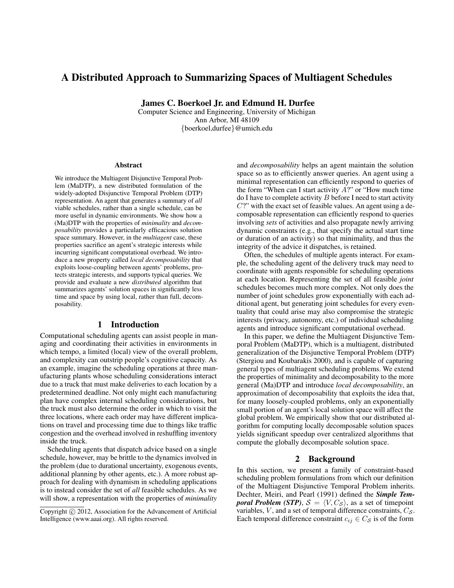# A Distributed Approach to Summarizing Spaces of Multiagent Schedules

James C. Boerkoel Jr. and Edmund H. Durfee

Computer Science and Engineering, University of Michigan Ann Arbor, MI 48109 {boerkoel,durfee}@umich.edu

#### Abstract

We introduce the Multiagent Disjunctive Temporal Problem (MaDTP), a new distributed formulation of the widely-adopted Disjunctive Temporal Problem (DTP) representation. An agent that generates a summary of *all* viable schedules, rather than a single schedule, can be more useful in dynamic environments. We show how a (Ma)DTP with the properties of *minimality* and *decomposability* provides a particularly efficacious solution space summary. However, in the *multiagent* case, these properties sacrifice an agent's strategic interests while incurring significant computational overhead. We introduce a new property called *local decomposability* that exploits loose-coupling between agents' problems, protects strategic interests, and supports typical queries. We provide and evaluate a new *distributed* algorithm that summarizes agents' solution spaces in significantly less time and space by using local, rather than full, decomposability.

## 1 Introduction

Computational scheduling agents can assist people in managing and coordinating their activities in environments in which tempo, a limited (local) view of the overall problem, and complexity can outstrip people's cognitive capacity. As an example, imagine the scheduling operations at three manufacturing plants whose scheduling considerations interact due to a truck that must make deliveries to each location by a predetermined deadline. Not only might each manufacturing plan have complex internal scheduling considerations, but the truck must also determine the order in which to visit the three locations, where each order may have different implications on travel and processing time due to things like traffic congestion and the overhead involved in reshuffling inventory inside the truck.

Scheduling agents that dispatch advice based on a single schedule, however, may be brittle to the dynamics involved in the problem (due to durational uncertainty, exogenous events, additional planning by other agents, etc.). A more robust approach for dealing with dynamism in scheduling applications is to instead consider the set of *all* feasible schedules. As we will show, a representation with the properties of *minimality*

and *decomposability* helps an agent maintain the solution space so as to efficiently answer queries. An agent using a minimal representation can efficiently respond to queries of the form "When can I start activity  $A$ ?" or "How much time do I have to complete activity  $B$  before I need to start activity  $C$ ?" with the exact set of feasible values. An agent using a decomposable representation can efficiently respond to queries involving *sets* of activities and also propagate newly arriving dynamic constraints (e.g., that specify the actual start time or duration of an activity) so that minimality, and thus the integrity of the advice it dispatches, is retained.

Often, the schedules of multiple agents interact. For example, the scheduling agent of the delivery truck may need to coordinate with agents responsible for scheduling operations at each location. Representing the set of all feasible *joint* schedules becomes much more complex. Not only does the number of joint schedules grow exponentially with each additional agent, but generating joint schedules for every eventuality that could arise may also compromise the strategic interests (privacy, autonomy, etc.) of individual scheduling agents and introduce significant computational overhead.

In this paper, we define the Multiagent Disjunctive Temporal Problem (MaDTP), which is a multiagent, distributed generalization of the Disjunctive Temporal Problem (DTP) (Stergiou and Koubarakis 2000), and is capable of capturing general types of multiagent scheduling problems. We extend the properties of minimality and decomposability to the more general (Ma)DTP and introduce *local decomposability*, an approximation of decomposability that exploits the idea that, for many loosely-coupled problems, only an exponentially small portion of an agent's local solution space will affect the global problem. We empirically show that our distributed algorithm for computing locally decomposable solution spaces yields significant speedup over centralized algorithms that compute the globally decomposable solution space.

### 2 Background

In this section, we present a family of constraint-based scheduling problem formulations from which our definition of the Multiagent Disjunctive Temporal Problem inherits. Dechter, Meiri, and Pearl (1991) defined the *Simple Temporal Problem (STP),*  $S = \langle V, C_S \rangle$ *, as a set of timepoint* variables,  $V$ , and a set of temporal difference constraints,  $C_S$ . Each temporal difference constraint  $c_{ij} \in C_S$  is of the form

Copyright (c) 2012, Association for the Advancement of Artificial Intelligence (www.aaai.org). All rights reserved.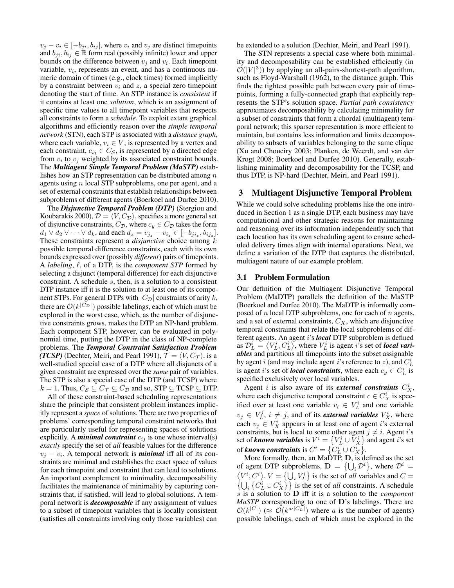$v_i - v_i \in [-b_{ji}, b_{ij}]$ , where  $v_i$  and  $v_j$  are distinct timepoints and  $b_{ji}, b_{ij} \in \mathbb{R}$  form real (possibly infinite) lower and upper bounds on the difference between  $v_j$  and  $v_i$ . Each timepoint variable,  $v_i$ , represents an event, and has a continuous numeric domain of times (e.g., clock times) formed implicitly by a constraint between  $v_i$  and z, a special zero timepoint denoting the start of time. An STP instance is *consistent* if it contains at least one *solution*, which is an assignment of specific time values to all timepoint variables that respects all constraints to form a *schedule*. To exploit extant graphical algorithms and efficiently reason over the *simple temporal network* (STN), each STP is associated with a *distance graph*, where each variable,  $v_i \in V$ , is represented by a vertex and each constraint,  $c_{ij} \in C_S$ , is represented by a directed edge from  $v_i$  to  $v_j$  weighted by its associated constraint bounds. The *Multiagent Simple Temporal Problem (MaSTP)* establishes how an STP representation can be distributed among  $n$ agents using  $n$  local STP subproblems, one per agent, and a set of external constraints that establish relationships between subproblems of different agents (Boerkoel and Durfee 2010).

The *Disjunctive Temporal Problem (DTP)* (Stergiou and Koubarakis 2000),  $\mathcal{D} = \langle V, C_{\mathcal{D}} \rangle$ , specifies a more general set of disjunctive constraints,  $C_{\mathcal{D}}$ , where  $c_y \in C_{\mathcal{D}}$  takes the form  $d_1 \vee d_2 \vee \cdots \vee d_k$ , and each  $d_z = v_{j_z} - v_{i_z} \in [-b_{ji_z}, b_{ij_z}]$ . These constraints represent a *disjunctive* choice among k possible temporal difference constraints, each with its own bounds expressed over (possibly *different*) pairs of timepoints. A *labeling*,  $\ell$ , of a DTP, is the *component STP* formed by selecting a disjunct (temporal difference) for each disjunctive constraint. A schedule s, then, is a solution to a consistent DTP instance iff it is the solution to at least one of its component STPs. For general DTPs with  $|C_{\mathcal{D}}|$  constraints of arity k, there are  $\mathcal{O}(k^{|C_{\mathcal{D}}|})$  possible labelings, each of which must be explored in the worst case, which, as the number of disjunctive constraints grows, makes the DTP an NP-hard problem. Each component STP, however, can be evaluated in polynomial time, putting the DTP in the class of NP-complete problems. The *Temporal Constraint Satisfaction Problem (TCSP)* (Dechter, Meiri, and Pearl 1991),  $\mathcal{T} = \langle V, C_{\mathcal{T}} \rangle$ , is a well-studied special case of a DTP where all disjuncts of a given constraint are expressed over the *same* pair of variables. The STP is also a special case of the DTP (and TCSP) where  $k = 1$ . Thus,  $C_S \subseteq C_{\mathcal{T}} \subseteq C_{\mathcal{D}}$  and so, STP  $\subseteq$  TCSP  $\subseteq$  DTP.

All of these constraint-based scheduling representations share the principle that consistent problem instances implicitly represent a *space* of solutions. There are two properties of problems' corresponding temporal constraint networks that are particularly useful for representing spaces of solutions explicitly. A *minimal constraint*  $c_{ij}$  is one whose interval(s) *exactly* specify the set of *all* feasible values for the difference  $v_j - v_i$ . A temporal network is **minimal** iff all of its constraints are minimal and establishes the exact space of values for each timepoint and constraint that can lead to solutions. An important complement to minimality, decomposability facilitates the maintenance of minimality by capturing constraints that, if satisfied, will lead to global solutions. A temporal network is *decomposable* if any assignment of values to a subset of timepoint variables that is locally consistent (satisfies all constraints involving only those variables) can

be extended to a solution (Dechter, Meiri, and Pearl 1991).

The STN represents a special case where both minimality and decomposability can be established efficiently (in  $\mathcal{O}(|V|^3)$ ) by applying an all-pairs-shortest-path algorithm, such as Floyd-Warshall (1962), to the distance graph. This finds the tightest possible path between every pair of timepoints, forming a fully-connected graph that explicitly represents the STP's solution space. *Partial path consistency* approximates decomposability by calculating minimality for a subset of constraints that form a chordal (multiagent) temporal network; this sparser representation is more efficient to maintain, but contains less information and limits decomposability to subsets of variables belonging to the same clique (Xu and Choueiry 2003; Planken, de Weerdt, and van der Krogt 2008; Boerkoel and Durfee 2010). Generally, establishing minimality and decomposability for the TCSP, and thus DTP, is NP-hard (Dechter, Meiri, and Pearl 1991).

## 3 Multiagent Disjunctive Temporal Problem

While we could solve scheduling problems like the one introduced in Section 1 as a single DTP, each business may have computational and other strategic reasons for maintaining and reasoning over its information independently such that each location has its own scheduling agent to ensure scheduled delivery times align with internal operations. Next, we define a variation of the DTP that captures the distributed, multiagent nature of our example problem.

### 3.1 Problem Formulation

Our definition of the Multiagent Disjunctive Temporal Problem (MaDTP) parallels the definition of the MaSTP (Boerkoel and Durfee 2010). The MaDTP is informally composed of  $n$  local DTP subproblems, one for each of  $n$  agents, and a set of external constraints,  $C_X$ , which are disjunctive temporal constraints that relate the local subproblems of different agents. An agent i's *local* DTP subproblem is defined as  $\mathcal{D}_L^i = \langle V_L^i, C_L^i \rangle$ , where  $V_L^i$  is agent *i*'s set of *local variables* and partitions all timepoints into the subset assignable by agent i (and may include agent i's reference to z), and  $C_L^i$ is agent *i*'s set of *local constraints*, where each  $c_y \in C_L^i$  is specified exclusively over local variables.

Agent *i* is also aware of its *external constraints*  $C_X^i$ , where each disjunctive temporal constraint  $c \in C_X^i$  is specified over at least one variable  $v_i \in V_L^i$  and one variable  $v_j \in V_L^j$ ,  $i \neq j$ , and of its *external variables*  $V_X^i$ , where each  $v_j \in V_X^i$  appears in at least one of agent *i*'s external constraints, but is local to some other agent  $j \neq i$ . Agent i's set of *known variables* is  $V^i = \left\{ V_L^i \cup V_X^i \right\}$  and agent *i*'s set of **known constraints** is  $C^i = \{C^i_L \cup C^i_X\}.$ 

More formally, then, an MaDTP, D, is defined as the set of agent DTP subproblems,  $\mathbf{D} = \{ \bigcup_i \mathcal{D}^i \}$ , where  $\mathcal{D}^i =$  $\langle V^i, C^i \rangle$ .  $V = \{ \bigcup_i V^i_L \}$  is the set of *all* variables and  $C =$  $\left\{ \bigcup_i \left\{ C_L^i \cup C_X^i \right\} \right\}$  is the set of *all* constraints. A schedule s is a solution to D iff it is a solution to the *component MaSTP* corresponding to one of D's labelings. There are  $\mathcal{O}(k^{|C|}) \approx \mathcal{O}(k^{a} |C_L|)$  where a is the number of agents) possible labelings, each of which must be explored in the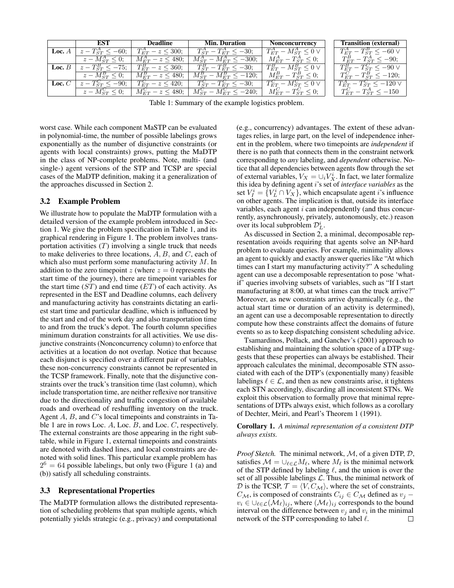|          | EST                                        | Deadline                   | <b>Min. Duration</b>            | Nonconcurrency                    | <b>Transition (external)</b>        |
|----------|--------------------------------------------|----------------------------|---------------------------------|-----------------------------------|-------------------------------------|
|          | <b>Loc.</b> $A \mid z - T_{ST}^A < -60;$   | $T_{ET}^{A} - z \leq 300;$ | $T_{ST}^A - T_{ET}^A \leq -30;$ | $T_{ET}^A - M_{ST}^A \leq 0 \vee$ | $T_{ET}^{A} - T_{ST}^{B} < -60$ V   |
|          | $z-M_{ST}^{A} \leq 0$ ;                    | $M_{ET}^{A} - z \le 480$ ; | $M_{ST}^A - M_{ET}^A < -300;$   | $M_{ET}^A-T_{ST}^A\leq 0;$        | $T_{ET}^{B} - T_{ST}^{A} \le -90;$  |
|          | <b>Loc.</b> $B \mid z - T_{ST}^{B} < -75;$ | $T_{ET}^B - z \leq 360;$   | $T_{ST}^B - T_{ET}^B \le -30;$  | $T_{ET}^B - M_{ST}^B \leq 0 \vee$ | $T_{ET}^B - T_{ST}^C \le -90 \vee$  |
|          | $z-M_{ST}^{B} \leq 0$ ;                    | $M_{ET}^B - z \le 480;$    | $M_{ST}^B - M_{ET}^B \le -120;$ | $M_{ET}^B-T_{ST}^B\leq 0;$        | $T_{ET}^{C} - T_{ST}^{B} \le -120;$ |
| Loc. $C$ | $z-T_{ST}^C < -90;$                        | $T_{ET}^{C} - z \leq 420;$ | $T_{ST}^C - T_{ET}^C \leq -30;$ | $T_{ET}^C - M_{ST}^C \leq 0 \vee$ | $T_{ET}^A - T_{ST}^C \le -120 \vee$ |
|          | $z-M_{ST}^C\leq 0;$                        | $M_{ET}^{C} - z \leq 480;$ | $M_{ST}^C - M_{ET}^C \le -240;$ | $M_{ET}^C - T_{ST}^C \leq 0;$     | $T_{ET}^C - T_{ST}^A \le -150$      |

Table 1: Summary of the example logistics problem.

worst case. While each component MaSTP can be evaluated in polynomial-time, the number of possible labelings grows exponentially as the number of disjunctive constraints (or agents with local constraints) grows, putting the MaDTP in the class of NP-complete problems. Note, multi- (and single-) agent versions of the STP and TCSP are special cases of the MaDTP definition, making it a generalization of the approaches discussed in Section 2.

### 3.2 Example Problem

We illustrate how to populate the MaDTP formulation with a detailed version of the example problem introduced in Section 1. We give the problem specification in Table 1, and its graphical rendering in Figure 1. The problem involves transportation activities  $(T)$  involving a single truck that needs to make deliveries to three locations,  $A, B$ , and  $C$ , each of which also must perform some manufacturing activity M. In addition to the zero timepoint z (where  $z = 0$  represents the start time of the journey), there are timepoint variables for the start time  $(ST)$  and end time  $(ET)$  of each activity. As represented in the EST and Deadline columns, each delivery and manufacturing activity has constraints dictating an earliest start time and particular deadline, which is influenced by the start and end of the work day and also transportation time to and from the truck's depot. The fourth column specifies minimum duration constraints for all activities. We use disjunctive constraints (Nonconcurrency column) to enforce that activities at a location do not overlap. Notice that because each disjunct is specified over a different pair of variables, these non-concurrency constraints cannot be represented in the TCSP framework. Finally, note that the disjunctive constraints over the truck's transition time (last column), which include transportation time, are neither reflexive nor transitive due to the directionality and traffic congestion of available roads and overhead of reshuffling inventory on the truck. Agent  $A$ ,  $B$ , and  $C$ 's local timepoints and constraints in Table 1 are in rows Loc. A, Loc. B, and Loc. C, respectively. The external constraints are those appearing in the right subtable, while in Figure 1, external timepoints and constraints are denoted with dashed lines, and local constraints are denoted with solid lines. This particular example problem has  $2^6 = 64$  possible labelings, but only two (Figure 1 (a) and (b)) satisfy all scheduling constraints.

#### 3.3 Representational Properties

The MaDTP formulation allows the distributed representation of scheduling problems that span multiple agents, which potentially yields strategic (e.g., privacy) and computational

(e.g., concurrency) advantages. The extent of these advantages relies, in large part, on the level of independence inherent in the problem, where two timepoints are *independent* if there is no path that connects them in the constraint network corresponding to *any* labeling, and *dependent* otherwise. Notice that all dependencies between agents flow through the set of external variables,  $V_X = \bigcup_i V_X^i$ . In fact, we later formalize this idea by defining agent i's set of *interface variables* as the set  $V_I^i = \{V_L^i \cap V_X\}$ , which encapsulate agent *i*'s influence on other agents. The implication is that, outside its interface variables, each agent  $i$  can independently (and thus concurrently, asynchronously, privately, autonomously, etc.) reason over its local subproblem  $\mathcal{D}_L^i$ .

As discussed in Section 2, a minimal, decomposable representation avoids requiring that agents solve an NP-hard problem to evaluate queries. For example, minimality allows an agent to quickly and exactly answer queries like "At which times can I start my manufacturing activity?" A scheduling agent can use a decomposable representation to pose 'whatif' queries involving subsets of variables, such as "If I start manufacturing at 8:00, at what times can the truck arrive?" Moreover, as new constraints arrive dynamically (e.g., the actual start time or duration of an activity is determined), an agent can use a decomposable representation to directly compute how these constraints affect the domains of future events so as to keep dispatching consistent scheduling advice.

Tsamardinos, Pollack, and Ganchev's (2001) approach to establishing and maintaining the solution space of a DTP suggests that these properties can always be established. Their approach calculates the minimal, decomposable STN associated with each of the DTP's (exponentially many) feasible labelings  $\ell \in \mathcal{L}$ , and then as new constraints arise, it tightens each STN accordingly, discarding all inconsistent STNs. We exploit this observation to formally prove that minimal representations of DTPs always exist, which follows as a corollary of Dechter, Meiri, and Pearl's Theorem 1 (1991).

Corollary 1. *A minimal representation of a consistent DTP always exists.*

*Proof Sketch.* The minimal network, M, of a given DTP, D, satisfies  $\mathcal{M} = \bigcup_{\ell \in \mathcal{L}} M_{\ell}$ , where  $M_{\ell}$  is the minimal network of the STP defined by labeling  $\ell$ , and the union is over the set of all possible labelings  $L$ . Thus, the minimal network of D is the TCSP,  $T = \langle V, C_M \rangle$ , where the set of constraints,  $C_{\mathcal{M}}$ , is composed of constraints  $C_{ij} \in C_{\mathcal{M}}$  defined as  $v_j$  –  $v_i \in \bigcup_{\ell \in \mathcal{L}} (\mathcal{M}_{\ell})_{ij}$ , where  $(\mathcal{M}_{\ell})_{ij}$  corresponds to the bound interval on the difference between  $v_j$  and  $v_i$  in the minimal network of the STP corresponding to label  $\ell$ .  $\Box$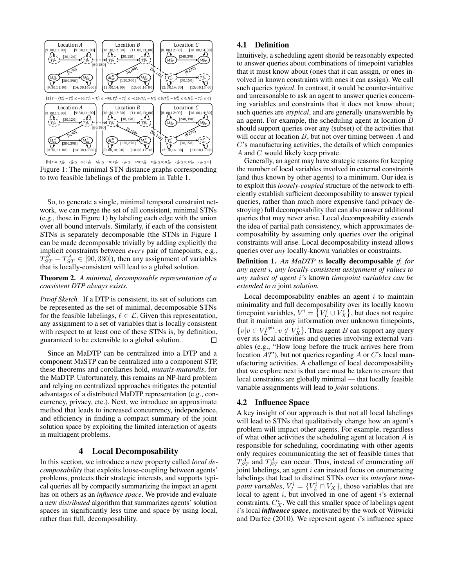

(b)  $\ell = \{T_{ET}^A - T_{ST}^B \le -60; T_{ET}^B - T_{ST}^C \le -90; T_{ET}^A - T_{ST}^C \le -120; T_{ET}^A - M_{ST}^A \le 0; M_{ET}^B - T_{ST}^B \le 0; M_{ET}^C - T_{ST}^C \le 0\}$ Figure 1: The minimal STN distance graphs corresponding to two feasible labelings of the problem in Table 1.

So, to generate a single, minimal temporal constraint network, we can merge the set of all consistent, minimal STNs (e.g., those in Figure 1) by labeling each edge with the union over all bound intervals. Similarly, if each of the consistent STNs is separately decomposable (the STNs in Figure 1 can be made decomposable trivially by adding explicitly the implicit constraints between *every* pair of timepoints, e.g.,  $T_{ST}^{\bar{B}} - T_{ST}^A \in [90, 330]$ ), then any assignment of variables that is locally-consistent will lead to a global solution.

Theorem 2. *A minimal, decomposable representation of a consistent DTP always exists.*

*Proof Sketch.* If a DTP is consistent, its set of solutions can be represented as the set of minimal, decomposable STNs for the feasible labelings,  $\ell \in \mathcal{L}$ . Given this representation, any assignment to a set of variables that is locally consistent with respect to at least one of these STNs is, by definition, guaranteed to be extensible to a global solution. П

Since an MaDTP can be centralized into a DTP and a component MaSTP can be centralized into a component STP, these theorems and corollaries hold, *mutatis-mutandis*, for the MaDTP. Unfortunately, this remains an NP-hard problem and relying on centralized approaches mitigates the potential advantages of a distributed MaDTP representation (e.g., concurrency, privacy, etc.). Next, we introduce an approximate method that leads to increased concurrency, independence, and efficiency in finding a compact summary of the joint solution space by exploiting the limited interaction of agents in multiagent problems.

# 4 Local Decomposability

In this section, we introduce a new property called *local decomposability* that exploits loose-coupling between agents' problems, protects their strategic interests, and supports typical queries all by compactly summarizing the impact an agent has on others as an *influence space*. We provide and evaluate a new *distributed* algorithm that summarizes agents' solution spaces in significantly less time and space by using local, rather than full, decomposability.

## 4.1 Definition

Intuitively, a scheduling agent should be reasonably expected to answer queries about combinations of timepoint variables that it must know about (ones that it can assign, or ones involved in known constraints with ones it can assign). We call such queries *typical*. In contrast, it would be counter-intuitive and unreasonable to ask an agent to answer queries concerning variables and constraints that it does not know about; such queries are *atypical*, and are generally unanswerable by an agent. For example, the scheduling agent at location B should support queries over any (subset) of the activities that will occur at location  $B$ , but not over timing between  $A$  and C's manufacturing activities, the details of which companies A and C would likely keep private.

Generally, an agent may have strategic reasons for keeping the number of local variables involved in external constraints (and thus known by other agents) to a minimum. Our idea is to exploit this *loosely-coupled* structure of the network to efficiently establish sufficient decomposability to answer typical queries, rather than much more expensive (and privacy destroying) full decomposability that can also answer additional queries that may never arise. Local decomposability extends the idea of partial path consistency, which approximates decomposability by assuming only queries over the original constraints will arise. Local decomposability instead allows queries over *any* locally-known variables or constraints.

Definition 1. *An MaDTP is* locally decomposable *if, for any agent* i*, any locally consistent assignment of values to any subset of agent* i*'s* known *timepoint variables can be extended to a* joint *solution.*

Local decomposability enables an agent  $i$  to maintain minimality and full decomposability over its locally known timepoint variables,  $V^i = \{V^i_L \cup V^i_X\}$ , but does not require that it maintain any information over unknown timepoints,  $\{v|v \in V_L^{j \neq i}, v \notin V_X^i\}$ . Thus agent B can support any query over its local activities and queries involving external variables (e.g., "How long before the truck arrives here from location  $A$ ?"), but not queries regarding  $A$  or  $C$ 's local manufacturing activities. A challenge of local decomposability that we explore next is that care must be taken to ensure that local constraints are globally minimal — that locally feasible variable assignments will lead to *joint* solutions.

#### 4.2 Influence Space

A key insight of our approach is that not all local labelings will lead to STNs that qualitatively change how an agent's problem will impact other agents. For example, regardless of what other activities the scheduling agent at location  $A$  is responsible for scheduling, coordinating with other agents only requires communicating the set of feasible times that  $T_{ST}^A$  and  $T_{ET}^A$  can occur. Thus, instead of enumerating *all* joint labelings, an agent  $i$  can instead focus on enumerating labelings that lead to distinct STNs over its *interface timepoint variables*,  $V_I^i = \{V_L^i \cap V_X\}$ , those variables that are local to agent  $i$ , but involved in one of agent  $i$ 's external constraints,  $C_X^i$ . We call this smaller space of labelings agent i's local *influence space*, motivated by the work of Witwicki and Durfee  $(2010)$ . We represent agent *i*'s influence space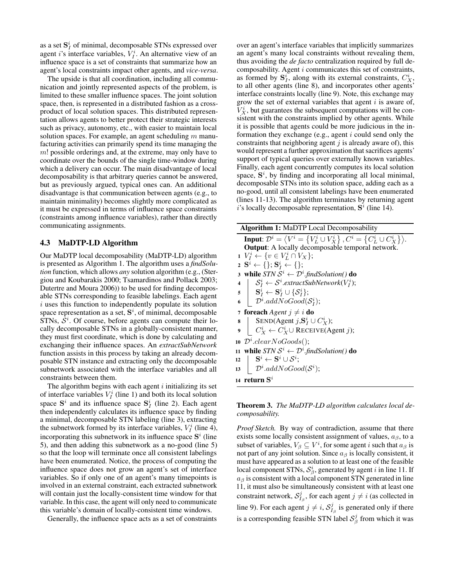as a set  $\mathbf{S}_I^i$  of minimal, decomposable STNs expressed over agent *i*'s interface variables,  $V_I^i$ . An alternative view of an influence space is a set of constraints that summarize how an agent's local constraints impact other agents, and *vice-versa*.

The upside is that all coordination, including all communication and jointly represented aspects of the problem, is limited to these smaller influence spaces. The joint solution space, then, is represented in a distributed fashion as a crossproduct of local solution spaces. This distributed representation allows agents to better protect their strategic interests such as privacy, autonomy, etc., with easier to maintain local solution spaces. For example, an agent scheduling  $m$  manufacturing activities can primarily spend its time managing the m! possible orderings and, at the extreme, may only have to coordinate over the bounds of the single time-window during which a delivery can occur. The main disadvantage of local decomposability is that arbitrary queries cannot be answered, but as previously argued, typical ones can. An additional disadvantage is that communication between agents (e.g., to maintain minimality) becomes slightly more complicated as it must be expressed in terms of influence space constraints (constraints among influence variables), rather than directly communicating assignments.

### 4.3 MaDTP-LD Algorithm

Our MaDTP local decomposability (MaDTP-LD) algorithm is presented as Algorithm 1. The algorithm uses a *findSolution* function, which allows *any* solution algorithm (e.g., (Stergiou and Koubarakis 2000; Tsamardinos and Pollack 2003; Dutertre and Moura 2006)) to be used for finding decomposable STNs corresponding to feasible labelings. Each agent  $i$  uses this function to independently populate its solution space representation as a set,  $S^i$ , of minimal, decomposable  $STNs$ ,  $S<sup>i</sup>$ . Of course, before agents can compute their locally decomposable STNs in a globally-consistent manner, they must first coordinate, which is done by calculating and exchanging their influence spaces. An *extractSubNetwork* function assists in this process by taking an already decomposable STN instance and extracting only the decomposable subnetwork associated with the interface variables and all constraints between them.

The algorithm begins with each agent  $i$  initializing its set of interface variables  $V_I^i$  (line 1) and both its local solution space  $S^i$  and its influence space  $S^i_I$  (line 2). Each agent then independently calculates its influence space by finding a minimal, decomposable STN labeling (line 3), extracting the subnetwork formed by its interface variables,  $V_I^i$  (line 4), incorporating this subnetwork in its influence space  $S<sup>i</sup>$  (line 5), and then adding this subnetwork as a no-good (line 5) so that the loop will terminate once all consistent labelings have been enumerated. Notice, the process of computing the influence space does not grow an agent's set of interface variables. So if only one of an agent's many timepoints is involved in an external constraint, each extracted subnetwork will contain just the locally-consistent time window for that variable. In this case, the agent will only need to communicate this variable's domain of locally-consistent time windows.

Generally, the influence space acts as a set of constraints

over an agent's interface variables that implicitly summarizes an agent's many local constraints without revealing them, thus avoiding the *de facto* centralization required by full decomposability. Agent i communicates this set of constraints, as formed by  $S_I^i$ , along with its external constraints,  $C_X^i$ , to all other agents (line 8), and incorporates other agents' interface constraints locally (line 9). Note, this exchange may grow the set of external variables that agent  $i$  is aware of,  $\bar{V}_X^i$ , but guarantees the subsequent computations will be consistent with the constraints implied by other agents. While it is possible that agents could be more judicious in the information they exchange (e.g., agent  $i$  could send only the constraints that neighboring agent  $j$  is already aware of), this would represent a further approximation that sacrifices agents' support of typical queries over externally known variables. Finally, each agent concurrently computes its local solution space,  $S<sup>i</sup>$ , by finding and incorporating all local minimal, decomposable STNs into its solution space, adding each as a no-good, until all consistent labelings have been enumerated (lines 11-13). The algorithm terminates by returning agent i's locally decomposable representation,  $S^i$  (line 14).

| <b>Algorithm 1:</b> MaDTP Local Decomposability                                                                                                            |  |  |  |
|------------------------------------------------------------------------------------------------------------------------------------------------------------|--|--|--|
| <b>Input:</b> $\mathcal{D}^i = \langle V^i = \{V^i_L \cup V^i_X\}, C^i = \{C^i_L \cup C^i_X\}\rangle.$<br>Output: A locally decomposable temporal network. |  |  |  |
| $1\ V_I^i \leftarrow \{v \in V_I^i \cap V_X\};$                                                                                                            |  |  |  |
| $2 \mathbf{S}^i \leftarrow \{\}; \mathbf{S}_I^i \leftarrow \{\};$                                                                                          |  |  |  |
| 3 while $STN S^i \leftarrow \mathcal{D}^i$ find Solution() do                                                                                              |  |  |  |
| 4   $S_I^i \leftarrow S^i$ .extractSubNetwork $(V_I^i)$ ;                                                                                                  |  |  |  |
| $\mathbf{s} \quad   \quad \mathbf{S}_I^i \leftarrow \mathbf{S}_I^i \cup \{\mathcal{S}_I^i\};$                                                              |  |  |  |
| $\mid \mathcal{D}^i.addNoGood(\mathcal{S}_I^i);$<br>6                                                                                                      |  |  |  |
| <b>foreach</b> Agent $j \neq i$ <b>do</b><br>7                                                                                                             |  |  |  |
| SEND(Agent $j, S^i_I \cup C^i_Y$ );<br>8                                                                                                                   |  |  |  |
| $  C^i_X \leftarrow C^i_X \cup$ RECEIVE(Agent j);<br>$\boldsymbol{Q}$                                                                                      |  |  |  |
| 10 $\mathcal{D}^i$ .clear NoGoods();                                                                                                                       |  |  |  |
| while $STN S^i \leftarrow \mathcal{D}^i$ find Solution() do<br>11                                                                                          |  |  |  |
| $\mathbf{S}^i \leftarrow \mathbf{S}^i \cup \mathcal{S}^i;$<br>12                                                                                           |  |  |  |
| $D^i.addNoGood(\mathcal{S}^i);$<br>13                                                                                                                      |  |  |  |
| 14 return $\mathbf{S}^i$                                                                                                                                   |  |  |  |
|                                                                                                                                                            |  |  |  |

Theorem 3. *The MaDTP-LD algorithm calculates local decomposability.*

*Proof Sketch.* By way of contradiction, assume that there exists some locally consistent assignment of values,  $a_{\beta}$ , to a subset of variables,  $V_\beta \subseteq V^i$ , for some agent i such that  $a_\beta$  is not part of any joint solution. Since  $a_{\beta}$  is locally consistent, it must have appeared as a solution to at least one of the feasible local component STNs,  $S^i_\beta$ , generated by agent i in line 11. If  $a_{\beta}$  is consistent with a local component STN generated in line 11, it must also be simultaneously consistent with at least one constraint network,  $S_{I_\beta}^j$ , for each agent  $j\neq i$  (as collected in line 9). For each agent  $j \neq i$ ,  $S_{I_{\beta}}^{j}$  is generated only if there is a corresponding feasible STN label  $\mathcal{S}_{\beta}^{j}$  from which it was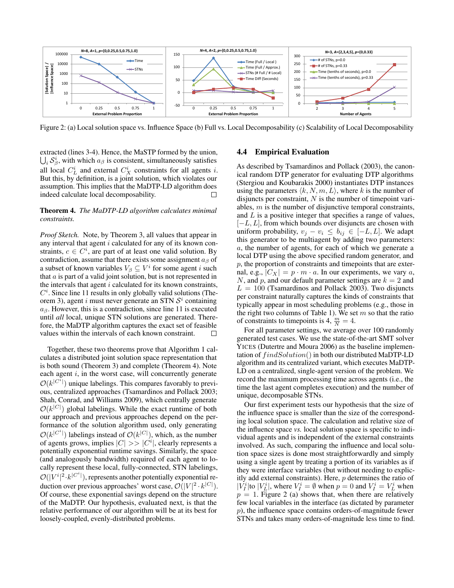

Figure 2: (a) Local solution space vs. Influence Space (b) Full vs. Local Decomposability (c) Scalability of Local Decomposability

extracted (lines 3-4). Hence, the MaSTP formed by the union,  $\bigcup_i \mathcal{S}^i_\beta$ , with which  $a_\beta$  is consistent, simultaneously satisfies all local  $C_L^i$  and external  $C_X^i$  constraints for all agents *i*. But this, by definition, is a joint solution, which violates our assumption. This implies that the MaDTP-LD algorithm does indeed calculate local decomposability.  $\Box$ 

#### Theorem 4. *The MaDTP-LD algorithm calculates minimal constraints.*

*Proof Sketch.* Note, by Theorem 3, all values that appear in any interval that agent i calculated for any of its known constraints,  $c \in C^i$ , are part of at least one valid solution. By contradiction, assume that there exists some assignment  $a_{\beta}$  of a subset of known variables  $V_\beta \subseteq V^i$  for some agent *i* such that  $a$  is part of a valid joint solution, but is not represented in the intervals that agent  $i$  calculated for its known constraints,  $C<sup>i</sup>$ . Since line 11 results in only globally valid solutions (Theorem 3), agent i must never generate an STN  $S<sup>i</sup>$  containing  $a_{\beta}$ . However, this is a contradiction, since line 11 is executed until *all* local, unique STN solutions are generated. Therefore, the MaDTP algorithm captures the exact set of feasible values within the intervals of each known constraint.  $\Box$ 

Together, these two theorems prove that Algorithm 1 calculates a distributed joint solution space representation that is both sound (Theorem 3) and complete (Theorem 4). Note each agent  $i$ , in the worst case, will concurrently generate  $\mathcal{O}(k^{|C^i|})$  unique labelings. This compares favorably to previous, centralized approaches (Tsamardinos and Pollack 2003; Shah, Conrad, and Williams 2009), which centrally generate  $\mathcal{O}(k^{|C|})$  global labelings. While the exact runtime of both our approach and previous approaches depend on the performance of the solution algorithm used, only generating  $\mathcal{O}(k^{|C^i|})$  labelings instead of  $\mathcal{O}(k^{|C|})$ , which, as the number of agents grows, implies  $|C| \gg |C^i|$ , clearly represents a potentially exponential runtime savings. Similarly, the space (and analogously bandwidth) required of each agent to locally represent these local, fully-connected, STN labelings,  $\mathcal{O}(|V^i|^2 \cdot k^{|C^i|})$ , represents another potentially exponential reduction over previous approaches' worst case,  $\mathcal{O}(|V|^2 \cdot k^{|C|})$ . Of course, these exponential savings depend on the structure of the MaDTP. Our hypothesis, evaluated next, is that the relative performance of our algorithm will be at its best for loosely-coupled, evenly-distributed problems.

#### 4.4 Empirical Evaluation

As described by Tsamardinos and Pollack (2003), the canonical random DTP generator for evaluating DTP algorithms (Stergiou and Koubarakis 2000) instantiates DTP instances using the parameters  $\langle k, N, m, L \rangle$ , where k is the number of disjuncts per constraint,  $N$  is the number of timepoint variables,  $m$  is the number of disjunctive temporal constraints, and  $L$  is a positive integer that specifies a range of values,  $[-L, L]$ , from which bounds over disjuncts are chosen with uniform probability,  $v_j - v_i \leq b_{ij} \in [-L, L]$ . We adapt this generator to be multiagent by adding two parameters: a, the number of agents, for each of which we generate a local DTP using the above specified random generator, and  $p$ , the proportion of constraints and timepoints that are external, e.g.,  $|C_X| = p \cdot m \cdot a$ . In our experiments, we vary a, N, and p, and our default parameter settings are  $k = 2$  and  $L = 100$  (Tsamardinos and Pollack 2003). Two disjuncts per constraint naturally captures the kinds of constraints that typically appear in most scheduling problems (e.g., those in the right two columns of Table 1). We set  $m$  so that the ratio of constraints to timepoints is 4,  $\frac{m}{N} = 4$ .

For all parameter settings, we average over 100 randomly generated test cases. We use the state-of-the-art SMT solver YICES (Dutertre and Moura 2006) as the baseline implementation of  $findSolution()$  in both our distributed MaDTP-LD algorithm and its centralized variant, which executes MaDTP-LD on a centralized, single-agent version of the problem. We record the maximum processing time across agents (i.e., the time the last agent completes execution) and the number of unique, decomposable STNs.

Our first experiment tests our hypothesis that the size of the influence space is smaller than the size of the corresponding local solution space. The calculation and relative size of the influence space *vs.* local solution space is specific to individual agents and is independent of the external constraints involved. As such, comparing the influence and local solution space sizes is done most straightforwardly and simply using a single agent by treating a portion of its variables as if they were interface variables (but without needing to explicitly add external constraints). Here, p determines the ratio of  $|V_I^i|$ to  $|V_L^i|$ , where  $V_I^i = \emptyset$  when  $p = 0$  and  $V_I^i = V_L^i$  when  $p = 1$ . Figure 2 (a) shows that, when there are relatively few local variables in the interface (as dictated by parameter  $p$ ), the influence space contains orders-of-magnitude fewer STNs and takes many orders-of-magnitude less time to find.